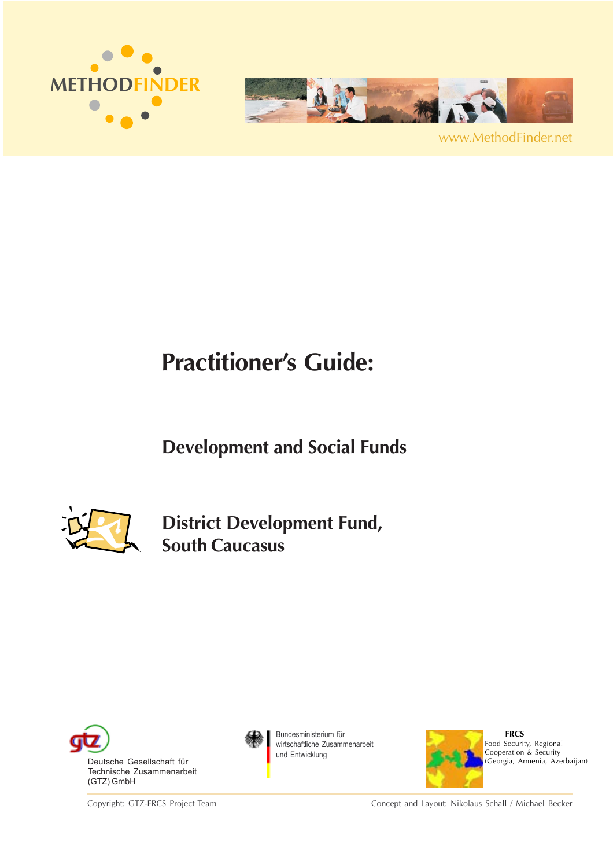



www.MethodFinder.net

# **Practitioner's Guide:**

**Development and Social Funds**



**District Development Fund, South Caucasus**



Copyright: GTZ-FRCS Project Team



Bundesministerium für wirtschaftliche Zusammenarbeit und Entwicklung



 **FRCS** Food Security, Regional Cooperation & Security (Georgia, Armenia, Azerbaijan)

Concept and Layout: Nikolaus Schall / Michael Becker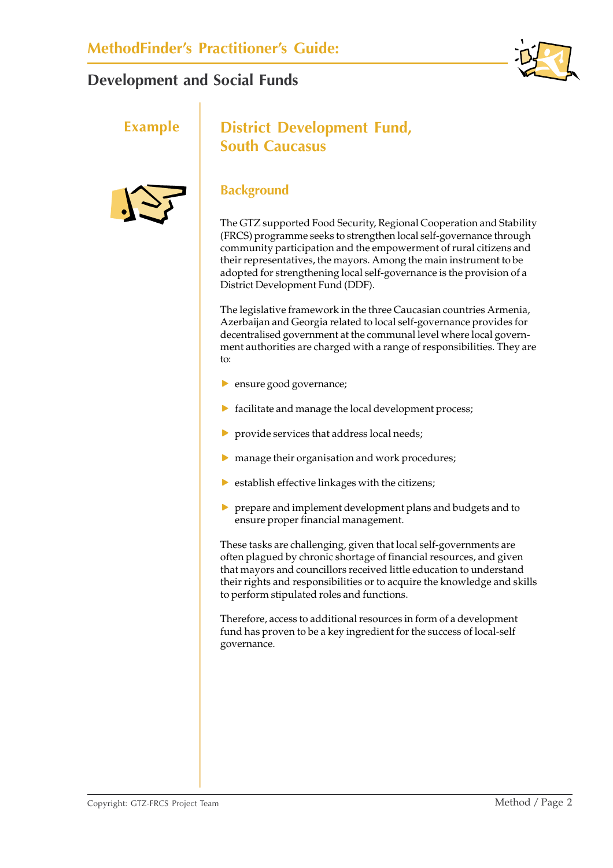





### **Example** | District Development Fund, **South Caucasus**

#### **Background**

The GTZ supported Food Security, Regional Cooperation and Stability (FRCS) programme seeks to strengthen local self-governance through community participation and the empowerment of rural citizens and their representatives, the mayors. Among the main instrument to be adopted for strengthening local self-governance is the provision of a District Development Fund (DDF).

The legislative framework in the three Caucasian countries Armenia, Azerbaijan and Georgia related to local self-governance provides for decentralised government at the communal level where local government authorities are charged with a range of responsibilities. They are  $t^{\alpha}$ 

- $\blacktriangleright$  ensure good governance;
- $\triangleright$  facilitate and manage the local development process;
- $\blacktriangleright$  provide services that address local needs;
- $\triangleright$  manage their organisation and work procedures;
- $\blacktriangleright$  establish effective linkages with the citizens;
- $\triangleright$  prepare and implement development plans and budgets and to ensure proper financial management.

These tasks are challenging, given that local self-governments are often plagued by chronic shortage of financial resources, and given that mayors and councillors received little education to understand their rights and responsibilities or to acquire the knowledge and skills to perform stipulated roles and functions.

Therefore, access to additional resources in form of a development fund has proven to be a key ingredient for the success of local-self governance.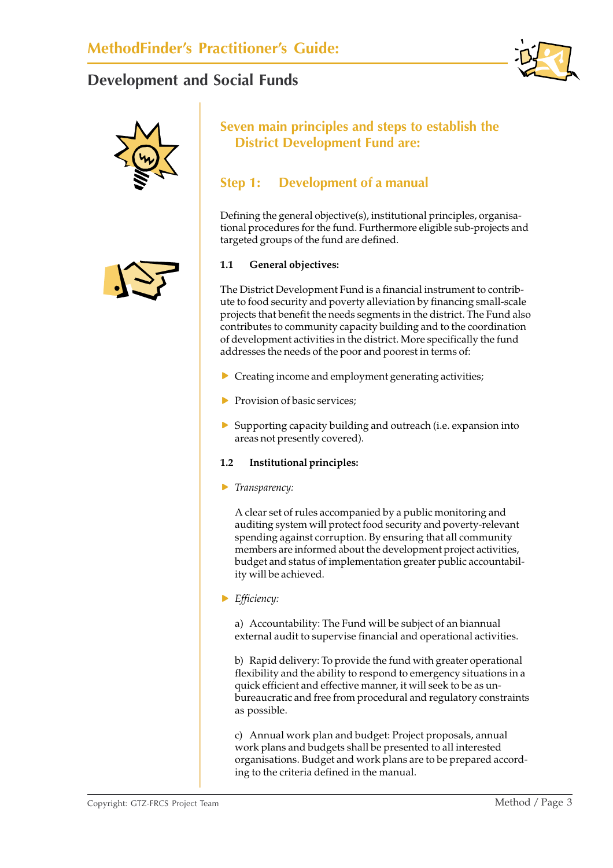



#### **Seven main principles and steps to establish the District Development Fund are:**

#### **Step 1: Development of a manual**

Defining the general objective(s), institutional principles, organisational procedures for the fund. Furthermore eligible sub-projects and targeted groups of the fund are defined.

#### **1.1 General objectives:**

The District Development Fund is a financial instrument to contribute to food security and poverty alleviation by financing small-scale projects that benefit the needs segments in the district. The Fund also contributes to community capacity building and to the coordination of development activities in the district. More specifically the fund addresses the needs of the poor and poorest in terms of:

- $\triangleright$  Creating income and employment generating activities;
- $\blacktriangleright$  Provision of basic services;
- $\triangleright$  Supporting capacity building and outreach (i.e. expansion into areas not presently covered).

#### **1.2 Institutional principles:**

**F** *Transparency:* 

A clear set of rules accompanied by a public monitoring and auditing system will protect food security and poverty-relevant spending against corruption. By ensuring that all community members are informed about the development project activities, budget and status of implementation greater public accountability will be achieved.

#### **F** *Efficiency:*

a) Accountability: The Fund will be subject of an biannual external audit to supervise financial and operational activities.

b) Rapid delivery: To provide the fund with greater operational flexibility and the ability to respond to emergency situations in a quick efficient and effective manner, it will seek to be as unbureaucratic and free from procedural and regulatory constraints as possible.

c) Annual work plan and budget: Project proposals, annual work plans and budgets shall be presented to all interested organisations. Budget and work plans are to be prepared according to the criteria defined in the manual.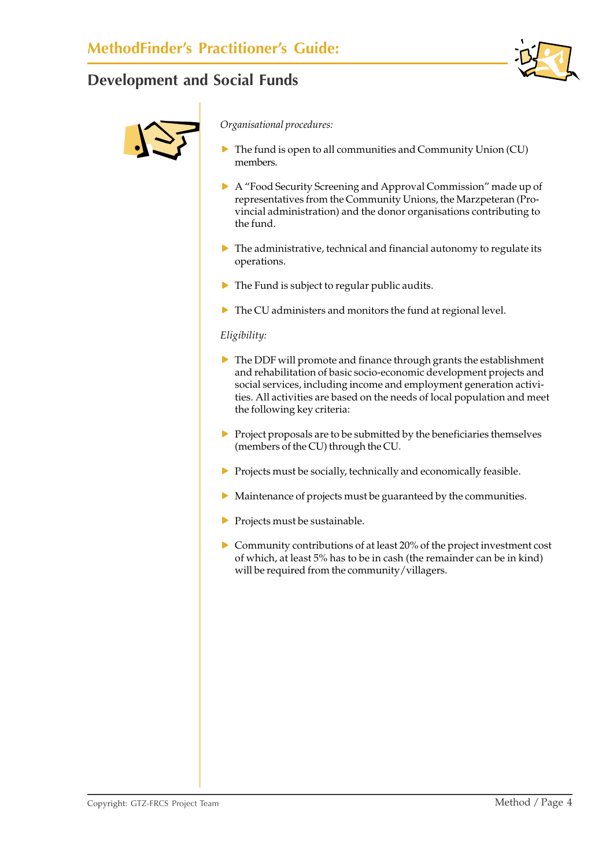



*Organisational procedures:*

- The fund is open to all communities and Community Union (CU) members.
- f A "Food Security Screening and Approval Commission" made up of representatives from the Community Unions, the Marzpeteran (Provincial administration) and the donor organisations contributing to the fund.
- $\triangleright$  The administrative, technical and financial autonomy to regulate its operations.
- $\blacktriangleright$  The Fund is subject to regular public audits.
- $\blacktriangleright$  The CU administers and monitors the fund at regional level.

#### *Eligibility:*

- $\triangleright$  The DDF will promote and finance through grants the establishment and rehabilitation of basic socio-economic development projects and social services, including income and employment generation activities. All activities are based on the needs of local population and meet the following key criteria:
- $\triangleright$  Project proposals are to be submitted by the beneficiaries themselves (members of the CU) through the CU.
- $\triangleright$  Projects must be socially, technically and economically feasible.
- $\blacktriangleright$  Maintenance of projects must be guaranteed by the communities.
- $\blacktriangleright$  Projects must be sustainable.
- $\triangleright$  Community contributions of at least 20% of the project investment cost of which, at least 5% has to be in cash (the remainder can be in kind) will be required from the community/villagers.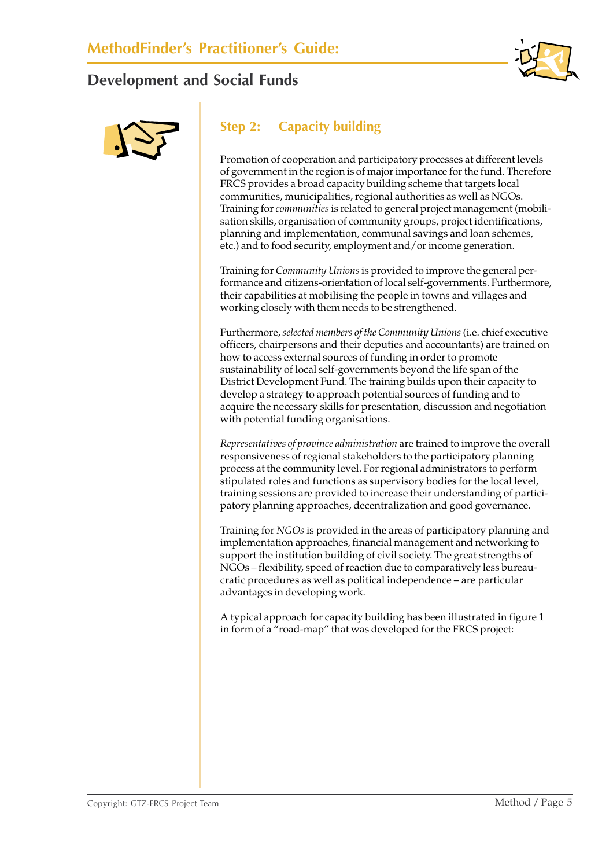



### **Step 2: Capacity building**

Promotion of cooperation and participatory processes at different levels of government in the region is of major importance for the fund. Therefore FRCS provides a broad capacity building scheme that targets local communities, municipalities, regional authorities as well as NGOs. Training for *communities* is related to general project management (mobilisation skills, organisation of community groups, project identifications, planning and implementation, communal savings and loan schemes, etc.) and to food security, employment and/or income generation.

Training for *Community Unions* is provided to improve the general performance and citizens-orientation of local self-governments. Furthermore, their capabilities at mobilising the people in towns and villages and working closely with them needs to be strengthened.

Furthermore, *selected members of the Community Unions* (i.e. chief executive officers, chairpersons and their deputies and accountants) are trained on how to access external sources of funding in order to promote sustainability of local self-governments beyond the life span of the District Development Fund. The training builds upon their capacity to develop a strategy to approach potential sources of funding and to acquire the necessary skills for presentation, discussion and negotiation with potential funding organisations.

*Representatives of province administration* are trained to improve the overall responsiveness of regional stakeholders to the participatory planning process at the community level. For regional administrators to perform stipulated roles and functions as supervisory bodies for the local level, training sessions are provided to increase their understanding of participatory planning approaches, decentralization and good governance.

Training for *NGOs* is provided in the areas of participatory planning and implementation approaches, financial management and networking to support the institution building of civil society. The great strengths of NGOs – flexibility, speed of reaction due to comparatively less bureaucratic procedures as well as political independence – are particular advantages in developing work.

A typical approach for capacity building has been illustrated in figure 1 in form of a "road-map" that was developed for the FRCS project: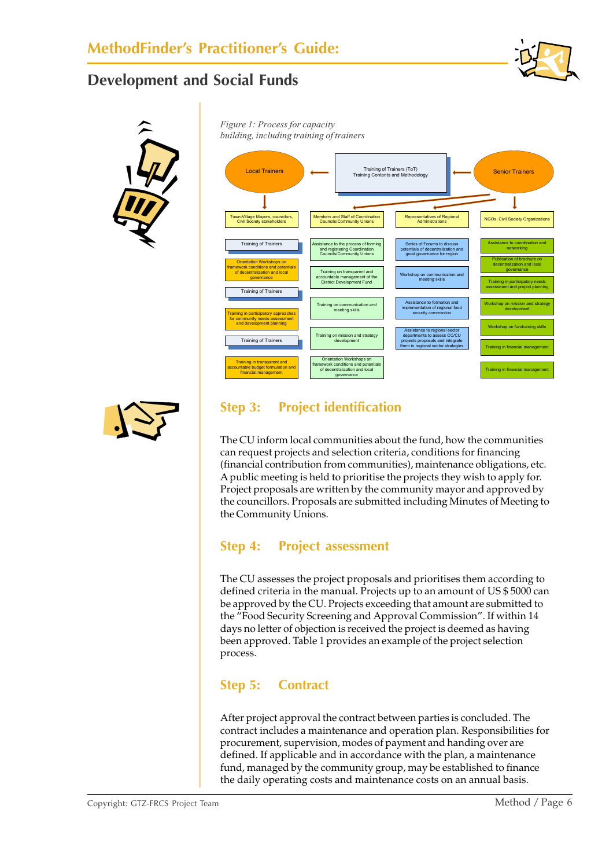



*Figure 1: Process for capacity building, including training of trainers*



#### **Step 3: Project identification**

The CU inform local communities about the fund, how the communities can request projects and selection criteria, conditions for financing (financial contribution from communities), maintenance obligations, etc. A public meeting is held to prioritise the projects they wish to apply for. Project proposals are written by the community mayor and approved by the councillors. Proposals are submitted including Minutes of Meeting to the Community Unions.

#### **Step 4: Project assessment**

The CU assesses the project proposals and prioritises them according to defined criteria in the manual. Projects up to an amount of US \$ 5000 can be approved by the CU. Projects exceeding that amount are submitted to the "Food Security Screening and Approval Commission". If within 14 days no letter of objection is received the project is deemed as having been approved. Table 1 provides an example of the project selection process.

#### **Step 5: Contract**

After project approval the contract between parties is concluded. The contract includes a maintenance and operation plan. Responsibilities for procurement, supervision, modes of payment and handing over are defined. If applicable and in accordance with the plan, a maintenance fund, managed by the community group, may be established to finance the daily operating costs and maintenance costs on an annual basis.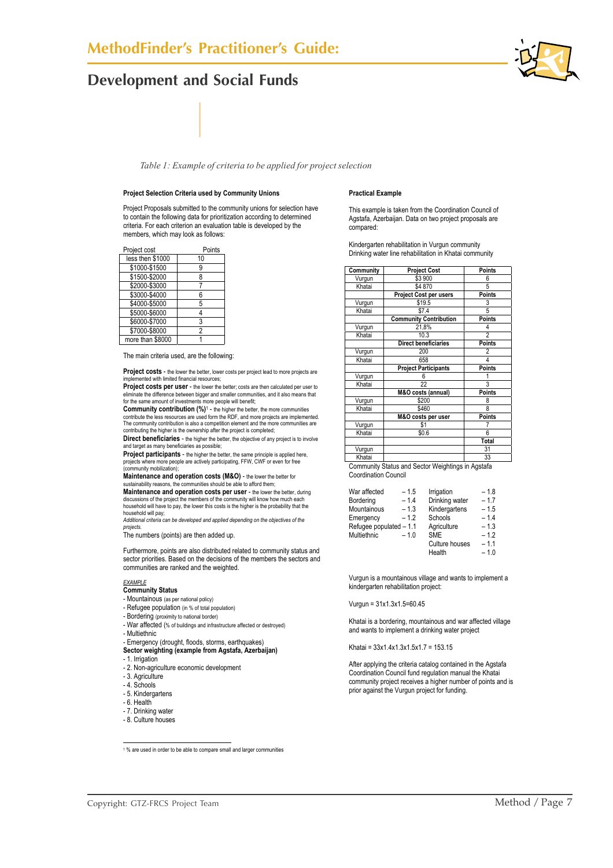*Table 1: Example of criteria to be applied for project selection*

#### **Project Selection Criteria used by Community Unions**

Project Proposals submitted to the community unions for selection have to contain the following data for prioritization according to determined criteria. For each criterion an evaluation table is developed by the members, which may look as follows:

| Project cost     | Points |  |
|------------------|--------|--|
| less then \$1000 | 10     |  |
| \$1000-\$1500    | 9      |  |
| \$1500-\$2000    | 8      |  |
| \$2000-\$3000    | 7      |  |
| \$3000-\$4000    | 6      |  |
| \$4000-\$5000    | 5      |  |
| \$5000-\$6000    | 4      |  |
| \$6000-\$7000    | 3      |  |
| \$7000-\$8000    | 2      |  |
| more than \$8000 |        |  |

The main criteria used, are the following:

**Project costs** - the lower the better, lower costs per project lead to more projects are **DECO THE LIGHT WAS DETERMINED FOR AN ADDRESS**;

**Project costs per user** - the lower the better; costs are then calculated per user to

eliminate the difference between bigger and smaller communities, and it also means that<br>for the same amount of investments more people will benefit;<br>**Community contribution (%)**1 – the higher the better, the more communiti The community contribution is also a competition element and the more communities are contributing the higher is the ownership after the project is completed;

**Direct beneficiaries** - the higher the better, the objective of any project is to involve and target as many beneficiaries as possible;

**Project participants** - the higher the better, the same principle is applied here, projects where more people are actively participating, FFW, CWF or even for free (community mobilization);

**Maintenance and operation costs (M&O)** - the lower the better for sustainability reasons, the communities should be able to afford them

**Maintenance and operation costs per user** - the lower the better, during discussions of the project the members of the community will know how much each household will have to pay, the lower this costs is the higher is the probability that the household will pay;

*Additional criteria can be developed and applied depending on the objectives of the projects.* 

The numbers (points) are then added up.

Furthermore, points are also distributed related to community status and sector priorities. Based on the decisions of the members the sectors and communities are ranked and the weighted.

#### *EXAMPLE*

- **Community Status**
- Mountainous (as per national policy)
- Refugee population (in % of total population)
- Bordering (proximity to national border)
- War affected (% of buildings and infrastructure affected or destroyed) - Multiethnic
- Emergency (drought, floods, storms, earthquakes)
- **Sector weighting (example from Agstafa, Azerbaijan)**
- 1. Irrigation
- 2. Non-agriculture economic development
- 3. Agriculture
- 4. Schools
- 5. Kindergartens
- 
- 6. Health - 7. Drinking water
- 
- 8. Culture houses

#### **Practical Example**

This example is taken from the Coordination Council of Agstafa, Azerbaijan. Data on two project proposals are compared:

Kindergarten rehabilitation in Vurgun community Drinking water line rehabilitation in Khatai community

| Community        | <b>Points</b><br><b>Project Cost</b> |                |
|------------------|--------------------------------------|----------------|
| Vurgun           | \$3 900<br>6                         |                |
| Khatai           | \$4 870                              | 5              |
|                  | <b>Project Cost per users</b>        | <b>Points</b>  |
| Vurgun           | \$19.5                               | 3              |
| Khatai           | \$7.4                                | 5              |
|                  | <b>Community Contribution</b>        | <b>Points</b>  |
| Vurgun           | 21,8%                                | 4              |
| Khatai           | 10.3                                 | $\overline{c}$ |
|                  | Direct beneficiaries                 | <b>Points</b>  |
| Vurgun           | 200                                  | 2              |
| Khatai           | 658                                  | 4              |
|                  | <b>Project Participants</b>          | <b>Points</b>  |
|                  |                                      |                |
| Vurgun           | 6                                    |                |
| Khatai           | 22                                   | 3              |
|                  | M&O costs (annual)                   | <b>Points</b>  |
| Vurgun           | \$200                                | 8              |
| Khatai           | \$460                                | 8              |
|                  | M&O costs per user                   | <b>Points</b>  |
| Vurgun           | \$1                                  |                |
| Khatai           | \$0.6                                | 6              |
|                  |                                      | Total          |
| Vurgun<br>Khatai |                                      | 31             |

Community Status and Sector Weightings in Agstafa Coordination Council

| War affected            | $-1.5$ | Irrigation     | $-1.8$ |
|-------------------------|--------|----------------|--------|
| Bordering               | $-1.4$ | Drinking water | $-1.7$ |
| Mountainous             | $-1.3$ | Kindergartens  | $-1.5$ |
| Emergency               | $-1.2$ | Schools        | $-1.4$ |
| Refugee populated - 1.1 |        | Agriculture    | $-1.3$ |
| Multiethnic             | $-1.0$ | <b>SME</b>     | $-1.2$ |
|                         |        | Culture houses | $-1.1$ |
|                         |        | Health         | $-1.0$ |

Vurgun is a mountainous village and wants to implement a kindergarten rehabilitation project:

Vurgun = 31x1.3x1.5=60.45

Khatai is a bordering, mountainous and war affected village and wants to implement a drinking water project

Khatai = 33x1.4x1.3x1.5x1.7 = 153.15

After applying the criteria catalog contained in the Agstafa Coordination Council fund regulation manual the Khatai community project receives a higher number of points and is prior against the Vurgun project for funding.

1 % are used in order to be able to compare small and larger communities